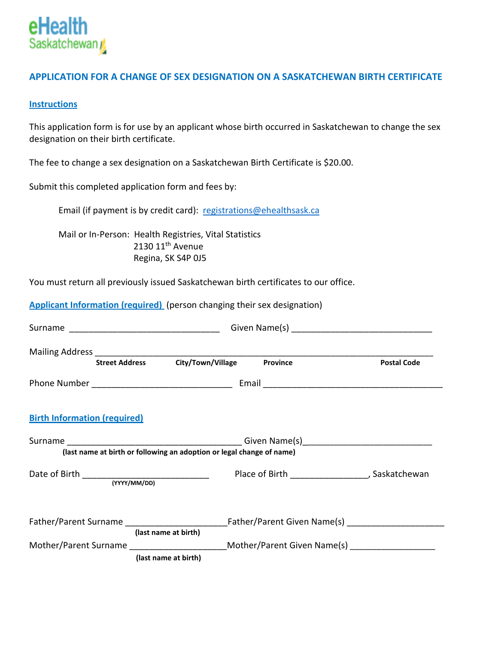

### **APPLICATION FOR A CHANGE OF SEX DESIGNATION ON A SASKATCHEWAN BIRTH CERTIFICATE**

#### **Instructions**

This application form is for use by an applicant whose birth occurred in Saskatchewan to change the sex designation on their birth certificate.

The fee to change a sex designation on a Saskatchewan Birth Certificate is \$20.00.

Submit this completed application form and fees by:

Email (if payment is by credit card): [registrations@ehealthsask.ca](mailto:registrations@ehealthsask.ca)

Mail or In-Person: Health Registries, Vital Statistics 2130 11<sup>th</sup> Avenue Regina, SK S4P 0J5

You must return all previously issued Saskatchewan birth certificates to our office.

**Applicant Information (required)** (person changing their sex designation)

|                                             | <b>Street Address</b> | City/Town/Village                                                     | Province | <b>Postal Code</b>                                                                                            |  |
|---------------------------------------------|-----------------------|-----------------------------------------------------------------------|----------|---------------------------------------------------------------------------------------------------------------|--|
|                                             |                       |                                                                       |          |                                                                                                               |  |
| <b>Birth Information (required)</b>         |                       |                                                                       |          |                                                                                                               |  |
|                                             |                       | (last name at birth or following an adoption or legal change of name) |          |                                                                                                               |  |
| Date of Birth _____________________________ | (YYYY/MM/DD)          |                                                                       |          | Place of Birth _______________________, Saskatchewan                                                          |  |
|                                             | (last name at birth)  |                                                                       |          | Father/Parent Surname ________________________________Father/Parent Given Name(s) ___________________________ |  |
|                                             | (last name at birth)  |                                                                       |          | Mother/Parent Surname Mother/Parent Given Name(s)                                                             |  |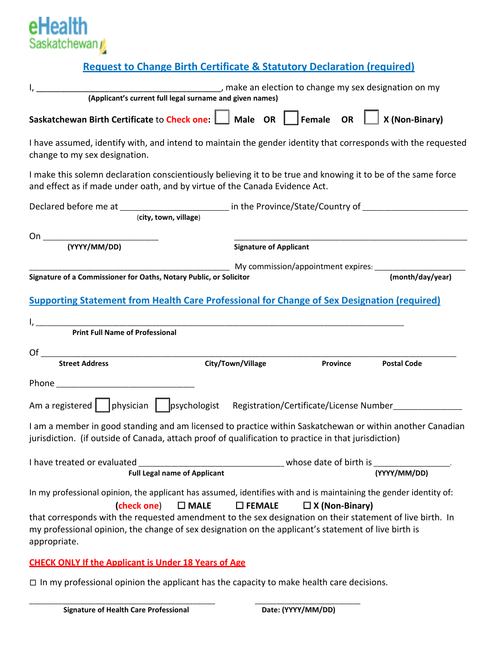

## **Request to Change Birth Certificate & Statutory Declaration (required)**

| (Applicant's current full legal surname and given names)<br>(Applicant's current full legal surname and given names)                                                                                              |                               |                 |  |                                                                         |
|-------------------------------------------------------------------------------------------------------------------------------------------------------------------------------------------------------------------|-------------------------------|-----------------|--|-------------------------------------------------------------------------|
| Saskatchewan Birth Certificate to Check one:     Male OR   Female OR                                                                                                                                              |                               |                 |  | $\boxed{\phantom{1}}$ X (Non-Binary)                                    |
| I have assumed, identify with, and intend to maintain the gender identity that corresponds with the requested<br>change to my sex designation.                                                                    |                               |                 |  |                                                                         |
| I make this solemn declaration conscientiously believing it to be true and knowing it to be of the same force<br>and effect as if made under oath, and by virtue of the Canada Evidence Act.                      |                               |                 |  |                                                                         |
| Declared before me at _________________________ in the Province/State/Country of _________________________<br>(city, town, village)                                                                               |                               |                 |  |                                                                         |
|                                                                                                                                                                                                                   | <b>Signature of Applicant</b> |                 |  |                                                                         |
| Signature of a Commissioner for Oaths, Notary Public, or Solicitor                                                                                                                                                |                               |                 |  | My commission/appointment expires: ________________<br>(month/day/year) |
|                                                                                                                                                                                                                   |                               |                 |  |                                                                         |
| <b>Supporting Statement from Health Care Professional for Change of Sex Designation (required)</b>                                                                                                                |                               |                 |  |                                                                         |
| <b>Print Full Name of Professional</b>                                                                                                                                                                            |                               |                 |  |                                                                         |
| <b>Street Address</b>                                                                                                                                                                                             | City/Town/Village             | <b>Province</b> |  | <b>Postal Code</b>                                                      |
|                                                                                                                                                                                                                   |                               |                 |  |                                                                         |
| Am a registered   physician   psychologist Registration/Certificate/License Number                                                                                                                                |                               |                 |  |                                                                         |
| I am a member in good standing and am licensed to practice within Saskatchewan or within another Canadian<br>jurisdiction. (if outside of Canada, attach proof of qualification to practice in that jurisdiction) |                               |                 |  |                                                                         |
| <b>Full Legal name of Applicant</b>                                                                                                                                                                               |                               |                 |  | (YYYY/MM/DD)                                                            |

#### **CHECK ONLY If the Applicant is Under 18 Years of Age**

☐ In my professional opinion the applicant has the capacity to make health care decisions.

\_\_\_\_\_\_\_\_\_\_\_\_\_\_\_\_\_\_\_\_\_\_\_\_\_\_\_\_\_\_\_\_\_\_\_\_\_\_\_\_\_\_\_\_\_\_\_\_\_\_\_ \_\_\_\_\_\_\_\_\_\_\_\_\_\_\_\_\_\_\_\_\_\_\_\_\_\_\_\_\_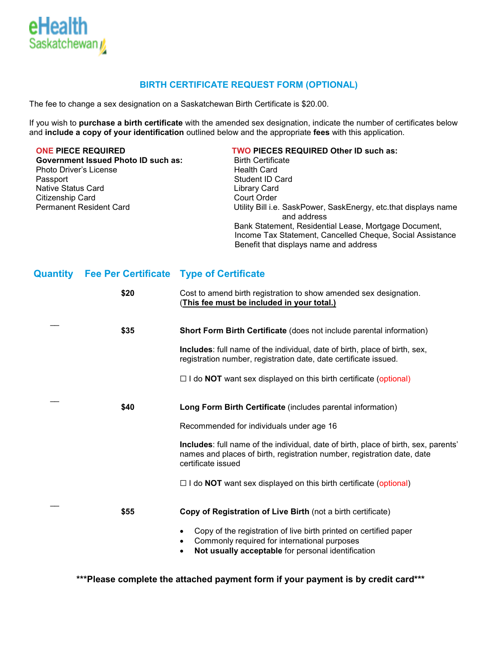

#### **BIRTH CERTIFICATE REQUEST FORM (OPTIONAL)**

The fee to change a sex designation on a Saskatchewan Birth Certificate is \$20.00.

If you wish to **purchase a birth certificate** with the amended sex designation, indicate the number of certificates below and **include a copy of your identification** outlined below and the appropriate **fees** with this application.

**Government Issued Photo ID such as:** Photo Driver's License **Health Card**  Passport Student ID Card Native Status Card Citizenship Card Court Order

# **ONE PIECE REQUIRED**<br>  **TWO PIECES REQUIRED Other ID such as:**  $\frac{1}{2}$  Birth Certificate

Utility Bill i.e. SaskPower, SaskEnergy, etc.that displays name and address Bank Statement, Residential Lease, Mortgage Document, Income Tax Statement, Cancelled Cheque, Social Assistance Benefit that displays name and address

#### **Quantity Fee Per Certificate Type of Certificate**

| \$20 | Cost to amend birth registration to show amended sex designation.<br>(This fee must be included in your total.)                                                                      |
|------|--------------------------------------------------------------------------------------------------------------------------------------------------------------------------------------|
| \$35 | <b>Short Form Birth Certificate (does not include parental information)</b>                                                                                                          |
|      | Includes: full name of the individual, date of birth, place of birth, sex,<br>registration number, registration date, date certificate issued.                                       |
|      | $\Box$ I do <b>NOT</b> want sex displayed on this birth certificate (optional)                                                                                                       |
| \$40 | Long Form Birth Certificate (includes parental information)                                                                                                                          |
|      | Recommended for individuals under age 16                                                                                                                                             |
|      | Includes: full name of the individual, date of birth, place of birth, sex, parents'<br>names and places of birth, registration number, registration date, date<br>certificate issued |
|      | $\Box$ I do <b>NOT</b> want sex displayed on this birth certificate (optional)                                                                                                       |
| \$55 | Copy of Registration of Live Birth (not a birth certificate)                                                                                                                         |
|      | Copy of the registration of live birth printed on certified paper<br>Commonly required for international purposes<br>٠<br>Not usually acceptable for personal identification<br>٠    |

 **\*\*\*Please complete the attached payment form if your payment is by credit card\*\*\***